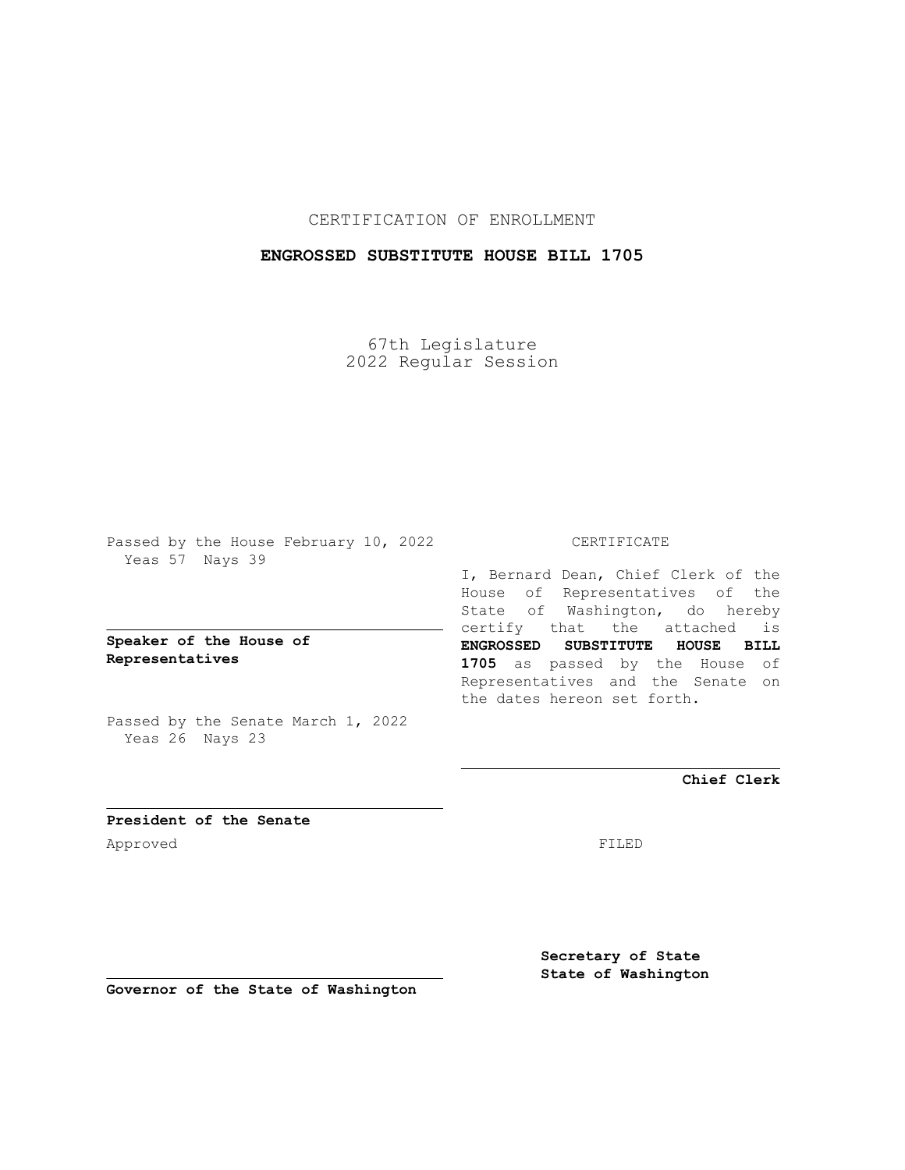# CERTIFICATION OF ENROLLMENT

# **ENGROSSED SUBSTITUTE HOUSE BILL 1705**

67th Legislature 2022 Regular Session

Passed by the House February 10, 2022 Yeas 57 Nays 39

**Speaker of the House of Representatives**

Passed by the Senate March 1, 2022 Yeas 26 Nays 23

#### CERTIFICATE

I, Bernard Dean, Chief Clerk of the House of Representatives of the State of Washington, do hereby certify that the attached is **ENGROSSED SUBSTITUTE HOUSE BILL 1705** as passed by the House of Representatives and the Senate on the dates hereon set forth.

**Chief Clerk**

**President of the Senate** Approved FILED

**Secretary of State State of Washington**

**Governor of the State of Washington**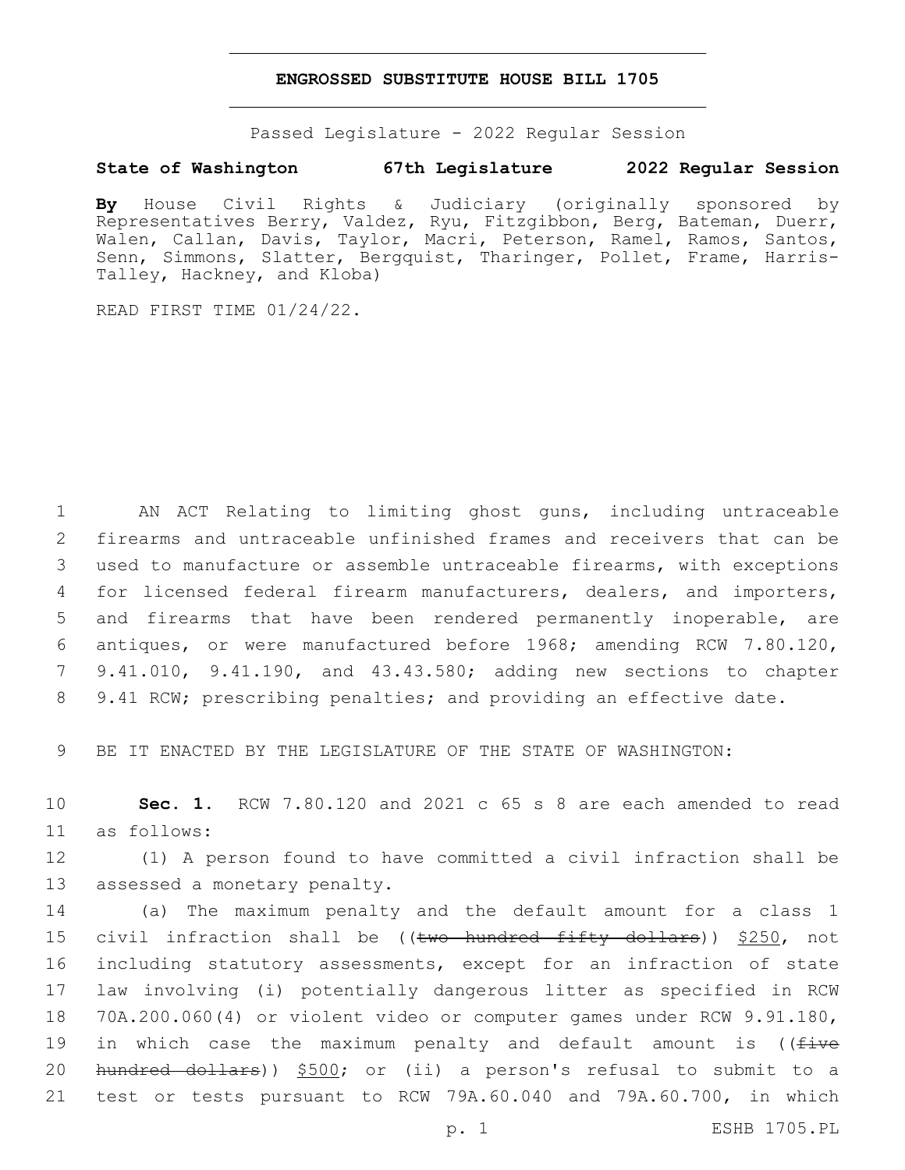#### **ENGROSSED SUBSTITUTE HOUSE BILL 1705**

Passed Legislature - 2022 Regular Session

### **State of Washington 67th Legislature 2022 Regular Session**

**By** House Civil Rights & Judiciary (originally sponsored by Representatives Berry, Valdez, Ryu, Fitzgibbon, Berg, Bateman, Duerr, Walen, Callan, Davis, Taylor, Macri, Peterson, Ramel, Ramos, Santos, Senn, Simmons, Slatter, Bergquist, Tharinger, Pollet, Frame, Harris-Talley, Hackney, and Kloba)

READ FIRST TIME 01/24/22.

 AN ACT Relating to limiting ghost guns, including untraceable firearms and untraceable unfinished frames and receivers that can be used to manufacture or assemble untraceable firearms, with exceptions for licensed federal firearm manufacturers, dealers, and importers, and firearms that have been rendered permanently inoperable, are antiques, or were manufactured before 1968; amending RCW 7.80.120, 9.41.010, 9.41.190, and 43.43.580; adding new sections to chapter 9.41 RCW; prescribing penalties; and providing an effective date.

9 BE IT ENACTED BY THE LEGISLATURE OF THE STATE OF WASHINGTON:

10 **Sec. 1.** RCW 7.80.120 and 2021 c 65 s 8 are each amended to read as follows:11

12 (1) A person found to have committed a civil infraction shall be 13 assessed a monetary penalty.

 (a) The maximum penalty and the default amount for a class 1 15 civil infraction shall be ((two hundred fifty dollars)) \$250, not including statutory assessments, except for an infraction of state law involving (i) potentially dangerous litter as specified in RCW 70A.200.060(4) or violent video or computer games under RCW 9.91.180, 19 in which case the maximum penalty and default amount is ((five hundred dollars)) \$500; or (ii) a person's refusal to submit to a test or tests pursuant to RCW 79A.60.040 and 79A.60.700, in which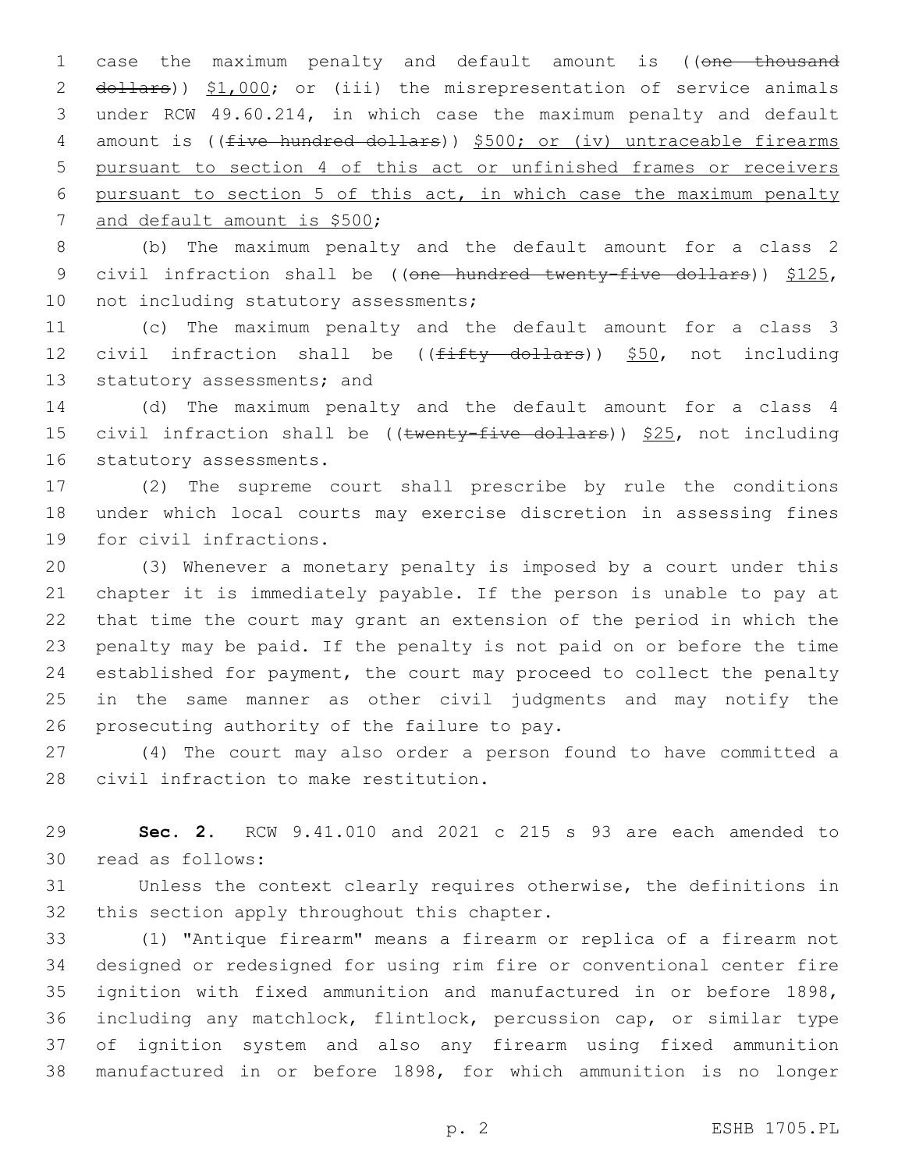1 case the maximum penalty and default amount is ((one thousand 2 dollars)) \$1,000; or (iii) the misrepresentation of service animals 3 under RCW 49.60.214, in which case the maximum penalty and default 4 amount is ((five hundred dollars)) \$500; or (iv) untraceable firearms 5 pursuant to section 4 of this act or unfinished frames or receivers 6 pursuant to section 5 of this act, in which case the maximum penalty 7 and default amount is \$500;

8 (b) The maximum penalty and the default amount for a class 2 9 civil infraction shall be ((one hundred twenty-five dollars)) \$125, 10 not including statutory assessments;

11 (c) The maximum penalty and the default amount for a class 3 12 civil infraction shall be  $((f\text{iffty} + f)$  dollars)) \$50, not including 13 statutory assessments; and

14 (d) The maximum penalty and the default amount for a class 4 15 civil infraction shall be (( $t$ wenty-five dollars))  $$25$ , not including 16 statutory assessments.

17 (2) The supreme court shall prescribe by rule the conditions 18 under which local courts may exercise discretion in assessing fines 19 for civil infractions.

 (3) Whenever a monetary penalty is imposed by a court under this chapter it is immediately payable. If the person is unable to pay at that time the court may grant an extension of the period in which the penalty may be paid. If the penalty is not paid on or before the time established for payment, the court may proceed to collect the penalty in the same manner as other civil judgments and may notify the 26 prosecuting authority of the failure to pay.

27 (4) The court may also order a person found to have committed a 28 civil infraction to make restitution.

29 **Sec. 2.** RCW 9.41.010 and 2021 c 215 s 93 are each amended to 30 read as follows:

31 Unless the context clearly requires otherwise, the definitions in 32 this section apply throughout this chapter.

 (1) "Antique firearm" means a firearm or replica of a firearm not designed or redesigned for using rim fire or conventional center fire ignition with fixed ammunition and manufactured in or before 1898, including any matchlock, flintlock, percussion cap, or similar type of ignition system and also any firearm using fixed ammunition manufactured in or before 1898, for which ammunition is no longer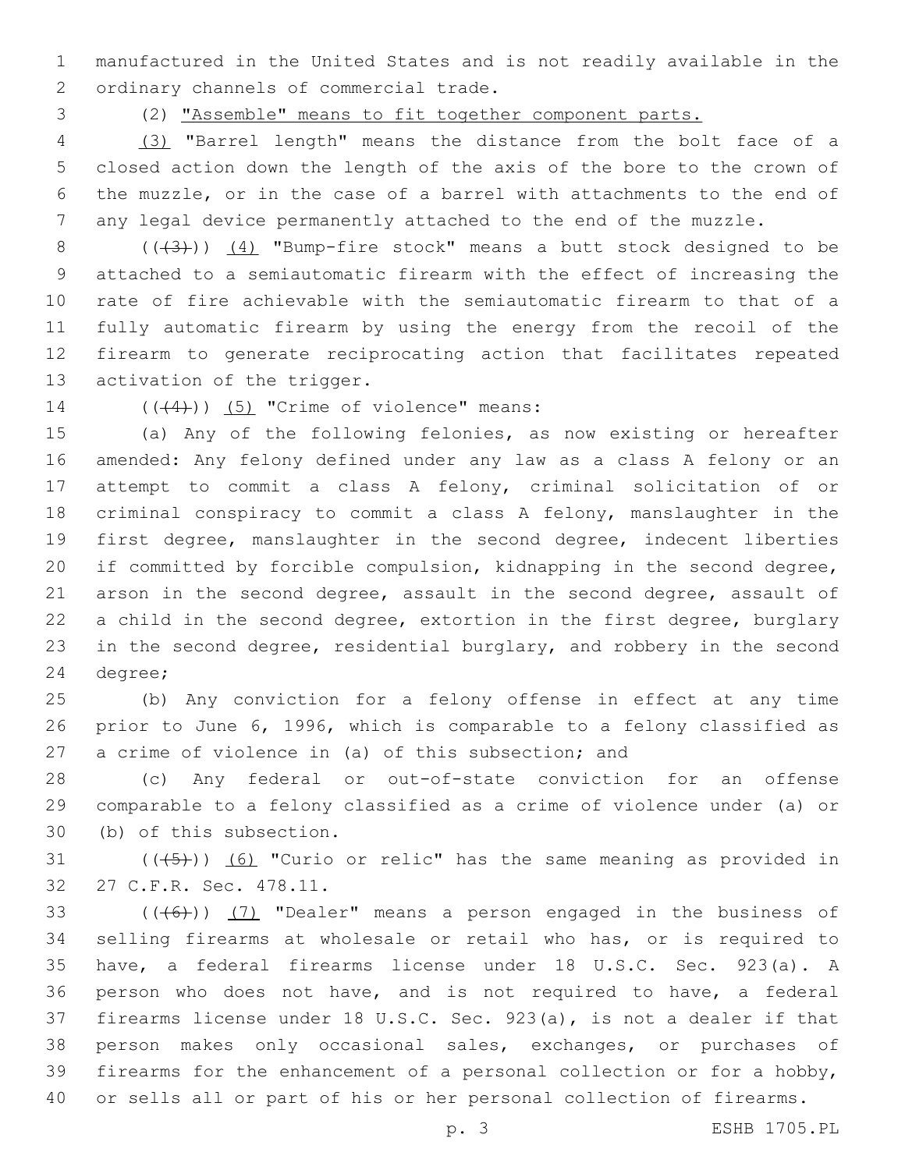manufactured in the United States and is not readily available in the 2 ordinary channels of commercial trade.

(2) "Assemble" means to fit together component parts.

 (3) "Barrel length" means the distance from the bolt face of a closed action down the length of the axis of the bore to the crown of the muzzle, or in the case of a barrel with attachments to the end of any legal device permanently attached to the end of the muzzle.

8 (( $(3)$ )) (4) "Bump-fire stock" means a butt stock designed to be attached to a semiautomatic firearm with the effect of increasing the rate of fire achievable with the semiautomatic firearm to that of a fully automatic firearm by using the energy from the recoil of the firearm to generate reciprocating action that facilitates repeated 13 activation of the trigger.

14  $((\langle 4 \rangle)(5)$  "Crime of violence" means:

 (a) Any of the following felonies, as now existing or hereafter amended: Any felony defined under any law as a class A felony or an attempt to commit a class A felony, criminal solicitation of or criminal conspiracy to commit a class A felony, manslaughter in the first degree, manslaughter in the second degree, indecent liberties if committed by forcible compulsion, kidnapping in the second degree, arson in the second degree, assault in the second degree, assault of a child in the second degree, extortion in the first degree, burglary in the second degree, residential burglary, and robbery in the second 24 degree;

 (b) Any conviction for a felony offense in effect at any time prior to June 6, 1996, which is comparable to a felony classified as a crime of violence in (a) of this subsection; and

 (c) Any federal or out-of-state conviction for an offense comparable to a felony classified as a crime of violence under (a) or 30 (b) of this subsection.

31  $((+5+))$   $(6)$  "Curio or relic" has the same meaning as provided in 27 C.F.R. Sec. 478.11.32

 $((+6))$   $(7)$  "Dealer" means a person engaged in the business of selling firearms at wholesale or retail who has, or is required to have, a federal firearms license under 18 U.S.C. Sec. 923(a). A person who does not have, and is not required to have, a federal firearms license under 18 U.S.C. Sec. 923(a), is not a dealer if that person makes only occasional sales, exchanges, or purchases of firearms for the enhancement of a personal collection or for a hobby, or sells all or part of his or her personal collection of firearms.

p. 3 ESHB 1705.PL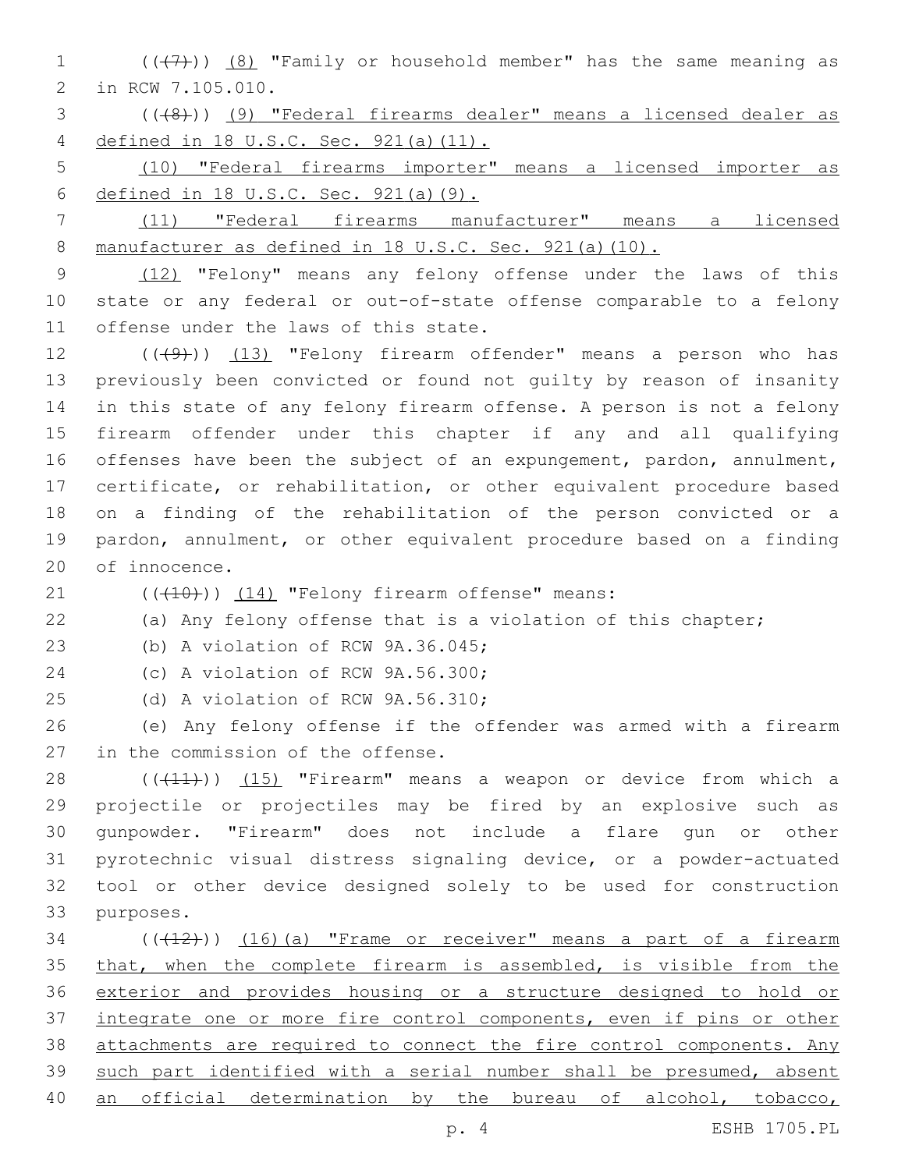1  $((+7)$ )  $(8)$  "Family or household member" has the same meaning as 2 in RCW 7.105.010.

3 (((8))) (9) "Federal firearms dealer" means a licensed dealer as 4 defined in 18 U.S.C. Sec. 921(a)(11).

5 (10) "Federal firearms importer" means a licensed importer as 6 defined in 18 U.S.C. Sec. 921(a)(9).

7 (11) "Federal firearms manufacturer" means a licensed 8 manufacturer as defined in 18 U.S.C. Sec. 921(a)(10).

9 (12) "Felony" means any felony offense under the laws of this 10 state or any federal or out-of-state offense comparable to a felony 11 offense under the laws of this state.

12 (((49))) (13) "Felony firearm offender" means a person who has previously been convicted or found not guilty by reason of insanity in this state of any felony firearm offense. A person is not a felony firearm offender under this chapter if any and all qualifying offenses have been the subject of an expungement, pardon, annulment, certificate, or rehabilitation, or other equivalent procedure based on a finding of the rehabilitation of the person convicted or a pardon, annulment, or other equivalent procedure based on a finding 20 of innocence.

 $(1)$   $(10)$ )  $(14)$  "Felony firearm offense" means:

22 (a) Any felony offense that is a violation of this chapter;

23 (b) A violation of RCW 9A.36.045;

24 (c) A violation of RCW 9A.56.300;

25 (d) A violation of RCW 9A.56.310;

26 (e) Any felony offense if the offender was armed with a firearm 27 in the commission of the offense.

28 (((11))) (15) "Firearm" means a weapon or device from which a projectile or projectiles may be fired by an explosive such as gunpowder. "Firearm" does not include a flare gun or other pyrotechnic visual distress signaling device, or a powder-actuated tool or other device designed solely to be used for construction 33 purposes.

 ( $(\overline{+12})$ )  $(16)$  (a) "Frame or receiver" means a part of a firearm 35 that, when the complete firearm is assembled, is visible from the exterior and provides housing or a structure designed to hold or integrate one or more fire control components, even if pins or other attachments are required to connect the fire control components. Any such part identified with a serial number shall be presumed, absent 40 an official determination by the bureau of alcohol, tobacco,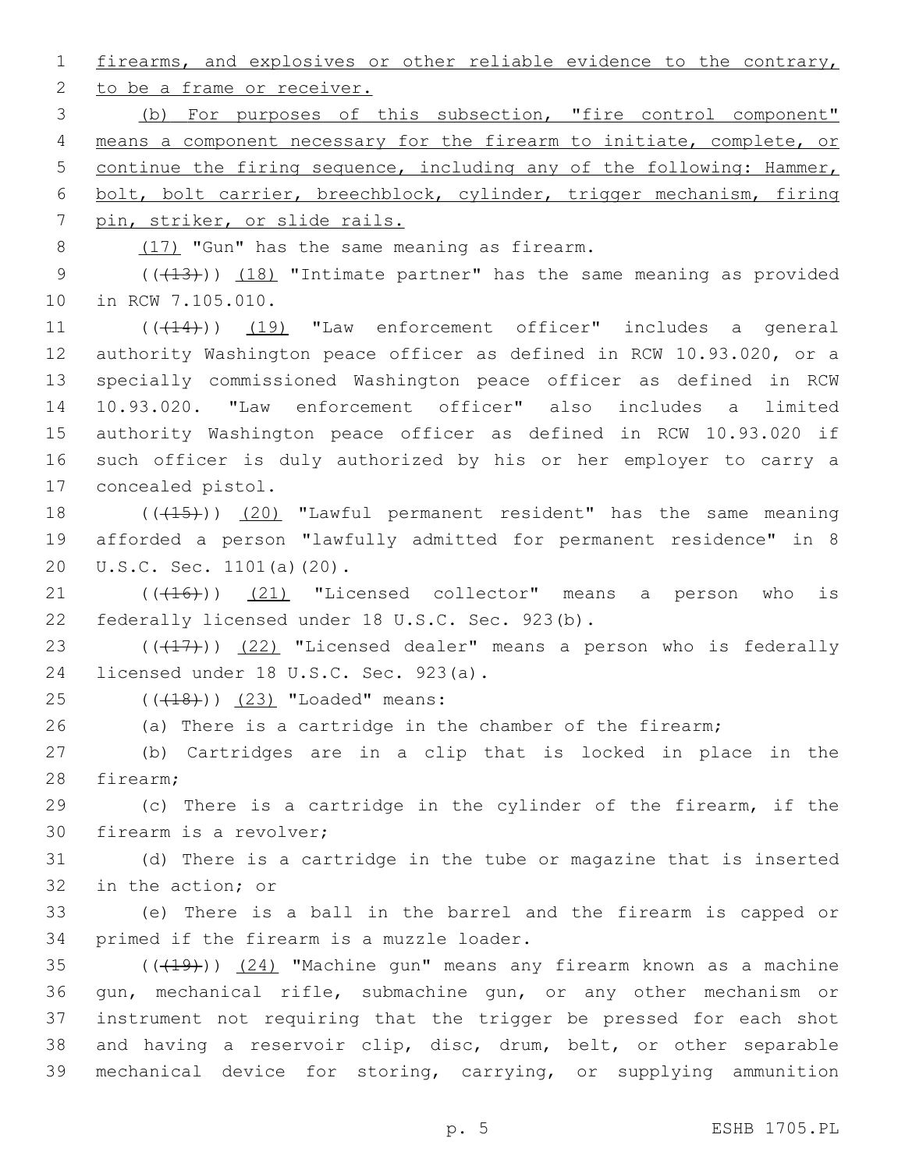1 firearms, and explosives or other reliable evidence to the contrary,

2 to be a frame or receiver.

 (b) For purposes of this subsection, "fire control component" means a component necessary for the firearm to initiate, complete, or continue the firing sequence, including any of the following: Hammer, bolt, bolt carrier, breechblock, cylinder, trigger mechanism, firing pin, striker, or slide rails.

8 (17) "Gun" has the same meaning as firearm.

9 (( $(13)$ )) (18) "Intimate partner" has the same meaning as provided 10 in RCW 7.105.010.

11 (( $(414)$ )) (19) "Law enforcement officer" includes a general authority Washington peace officer as defined in RCW 10.93.020, or a specially commissioned Washington peace officer as defined in RCW 10.93.020. "Law enforcement officer" also includes a limited authority Washington peace officer as defined in RCW 10.93.020 if such officer is duly authorized by his or her employer to carry a 17 concealed pistol.

18 (((15)) (20) "Lawful permanent resident" has the same meaning 19 afforded a person "lawfully admitted for permanent residence" in 8 20 U.S.C. Sec. 1101(a)(20).

 $(1)$   $(16)$ )  $(21)$  "Licensed collector" means a person who is 22 federally licensed under 18 U.S.C. Sec. 923(b).

23  $((+17))$   $(22)$  "Licensed dealer" means a person who is federally 24 licensed under 18 U.S.C. Sec. 923(a).

25 (((18))) (23) "Loaded" means:

26 (a) There is a cartridge in the chamber of the firearm;

27 (b) Cartridges are in a clip that is locked in place in the 28 firearm;

29 (c) There is a cartridge in the cylinder of the firearm, if the 30 firearm is a revolver;

31 (d) There is a cartridge in the tube or magazine that is inserted 32 in the action; or

33 (e) There is a ball in the barrel and the firearm is capped or 34 primed if the firearm is a muzzle loader.

 ( $(\overline{+19})$ )  $(24)$  "Machine gun" means any firearm known as a machine gun, mechanical rifle, submachine gun, or any other mechanism or instrument not requiring that the trigger be pressed for each shot and having a reservoir clip, disc, drum, belt, or other separable mechanical device for storing, carrying, or supplying ammunition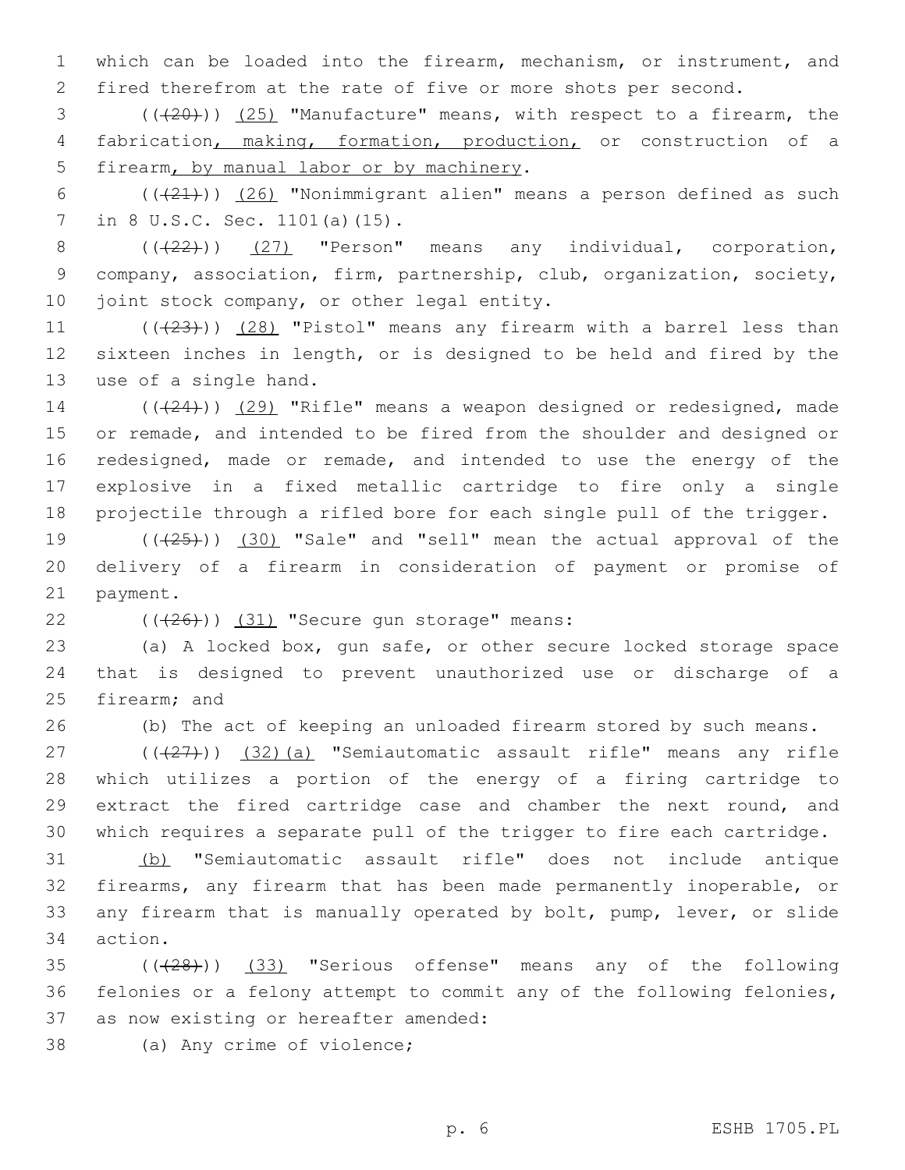1 which can be loaded into the firearm, mechanism, or instrument, and 2 fired therefrom at the rate of five or more shots per second.

3 (((20))) (25) "Manufacture" means, with respect to a firearm, the 4 fabrication, making, formation, production, or construction of a 5 firearm, by manual labor or by machinery.

6  $((+21))$   $(26)$  "Nonimmigrant alien" means a person defined as such 7 in 8 U.S.C. Sec. 1101(a)(15).

 $8$   $((22))$   $(27)$  "Person" means any individual, corporation, 9 company, association, firm, partnership, club, organization, society, 10 joint stock company, or other legal entity.

11  $((+23))$   $(28)$  "Pistol" means any firearm with a barrel less than 12 sixteen inches in length, or is designed to be held and fired by the 13 use of a single hand.

14 (((24))) (29) "Rifle" means a weapon designed or redesigned, made 15 or remade, and intended to be fired from the shoulder and designed or 16 redesigned, made or remade, and intended to use the energy of the 17 explosive in a fixed metallic cartridge to fire only a single 18 projectile through a rifled bore for each single pull of the trigger.

19  $((+25))$   $(30)$  "Sale" and "sell" mean the actual approval of the 20 delivery of a firearm in consideration of payment or promise of 21 payment.

 $(426)$ ) (31) "Secure gun storage" means:

23 (a) A locked box, gun safe, or other secure locked storage space 24 that is designed to prevent unauthorized use or discharge of a 25 firearm; and

26 (b) The act of keeping an unloaded firearm stored by such means.

 $(1)(\frac{27}{27})$  (32)(a) "Semiautomatic assault rifle" means any rifle which utilizes a portion of the energy of a firing cartridge to extract the fired cartridge case and chamber the next round, and which requires a separate pull of the trigger to fire each cartridge.

 (b) "Semiautomatic assault rifle" does not include antique firearms, any firearm that has been made permanently inoperable, or any firearm that is manually operated by bolt, pump, lever, or slide 34 action.

35 (( $(28)$ )) (33) "Serious offense" means any of the following 36 felonies or a felony attempt to commit any of the following felonies, 37 as now existing or hereafter amended:

38 (a) Any crime of violence;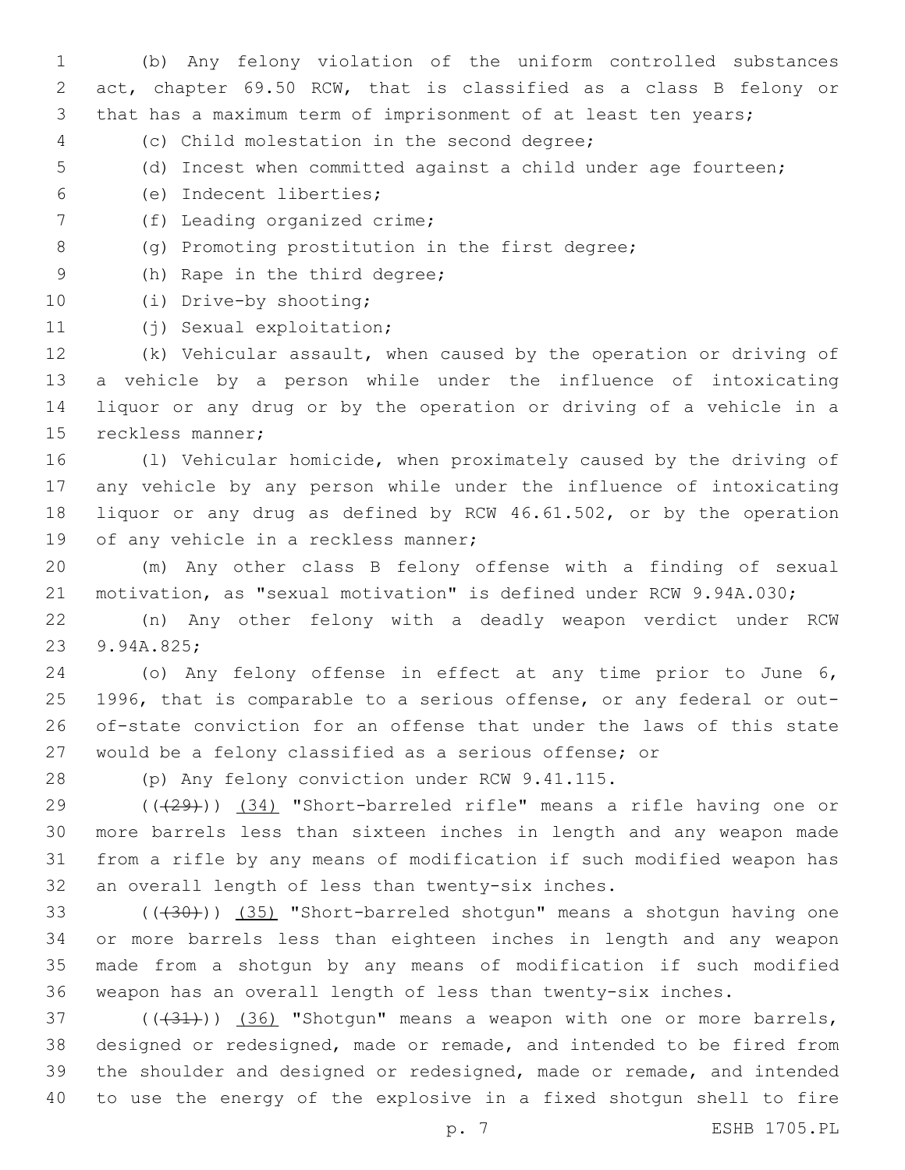(b) Any felony violation of the uniform controlled substances act, chapter 69.50 RCW, that is classified as a class B felony or that has a maximum term of imprisonment of at least ten years;

- (c) Child molestation in the second degree;4
- (d) Incest when committed against a child under age fourteen;
- (e) Indecent liberties;6
- 7 (f) Leading organized crime;
- 8 (g) Promoting prostitution in the first degree;
- 9 (h) Rape in the third degree;
- 10 (i) Drive-by shooting;
- 11 (j) Sexual exploitation;

 (k) Vehicular assault, when caused by the operation or driving of a vehicle by a person while under the influence of intoxicating liquor or any drug or by the operation or driving of a vehicle in a 15 reckless manner;

 (l) Vehicular homicide, when proximately caused by the driving of any vehicle by any person while under the influence of intoxicating liquor or any drug as defined by RCW 46.61.502, or by the operation 19 of any vehicle in a reckless manner;

 (m) Any other class B felony offense with a finding of sexual motivation, as "sexual motivation" is defined under RCW 9.94A.030;

 (n) Any other felony with a deadly weapon verdict under RCW 23 9.94A.825;

 (o) Any felony offense in effect at any time prior to June 6, 1996, that is comparable to a serious offense, or any federal or out- of-state conviction for an offense that under the laws of this state would be a felony classified as a serious offense; or

28 (p) Any felony conviction under RCW 9.41.115.

 (((29))) (34) "Short-barreled rifle" means a rifle having one or more barrels less than sixteen inches in length and any weapon made from a rifle by any means of modification if such modified weapon has 32 an overall length of less than twenty-six inches.

33 (((430))) (35) "Short-barreled shotgun" means a shotgun having one or more barrels less than eighteen inches in length and any weapon made from a shotgun by any means of modification if such modified weapon has an overall length of less than twenty-six inches.

 $(1,37)$  ( $(1,31)$ ) (36) "Shotgun" means a weapon with one or more barrels, designed or redesigned, made or remade, and intended to be fired from the shoulder and designed or redesigned, made or remade, and intended to use the energy of the explosive in a fixed shotgun shell to fire

p. 7 ESHB 1705.PL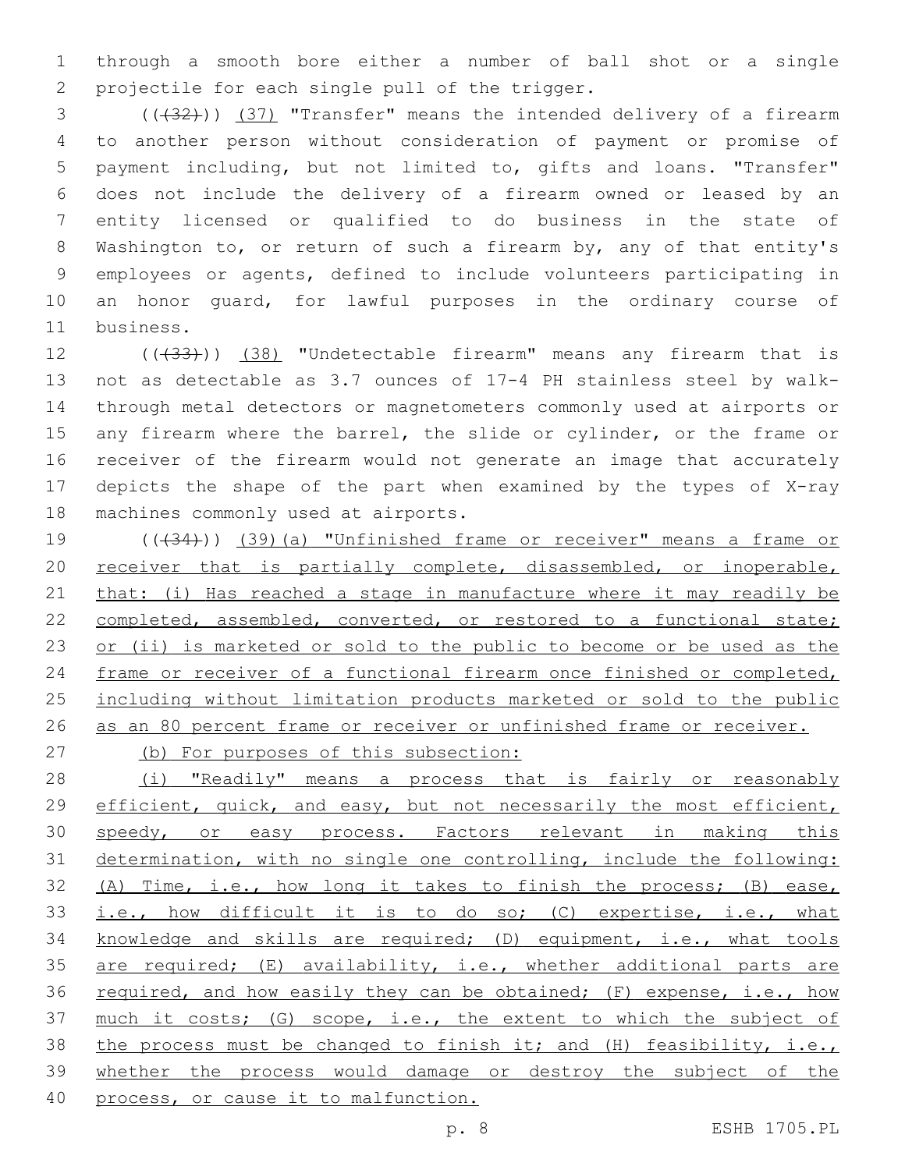1 through a smooth bore either a number of ball shot or a single 2 projectile for each single pull of the trigger.

3 (( $(32)$ )) (37) "Transfer" means the intended delivery of a firearm to another person without consideration of payment or promise of payment including, but not limited to, gifts and loans. "Transfer" does not include the delivery of a firearm owned or leased by an entity licensed or qualified to do business in the state of Washington to, or return of such a firearm by, any of that entity's employees or agents, defined to include volunteers participating in an honor guard, for lawful purposes in the ordinary course of 11 business.

12 (( $(33)$ )) (38) "Undetectable firearm" means any firearm that is 13 not as detectable as 3.7 ounces of 17-4 PH stainless steel by walk-14 through metal detectors or magnetometers commonly used at airports or 15 any firearm where the barrel, the slide or cylinder, or the frame or 16 receiver of the firearm would not generate an image that accurately 17 depicts the shape of the part when examined by the types of X-ray 18 machines commonly used at airports.

19 (( $(34)$ )) (39)(a) "Unfinished frame or receiver" means a frame or 20 receiver that is partially complete, disassembled, or inoperable, 21 that: (i) Has reached a stage in manufacture where it may readily be 22 completed, assembled, converted, or restored to a functional state; 23 or (ii) is marketed or sold to the public to become or be used as the 24 frame or receiver of a functional firearm once finished or completed, 25 including without limitation products marketed or sold to the public 26 as an 80 percent frame or receiver or unfinished frame or receiver.

27 (b) For purposes of this subsection:

28 (i) "Readily" means a process that is fairly or reasonably 29 efficient, quick, and easy, but not necessarily the most efficient, 30 speedy, or easy process. Factors relevant in making this 31 determination, with no single one controlling, include the following: 32 (A) Time, i.e., how long it takes to finish the process; (B) ease, 33 i.e., how difficult it is to do so; (C) expertise, i.e., what 34 knowledge and skills are required; (D) equipment, i.e., what tools 35 are required; (E) availability, i.e., whether additional parts are 36 required, and how easily they can be obtained; (F) expense, i.e., how 37 much it costs; (G) scope, i.e., the extent to which the subject of 38 the process must be changed to finish it; and (H) feasibility, i.e., 39 whether the process would damage or destroy the subject of the 40 process, or cause it to malfunction.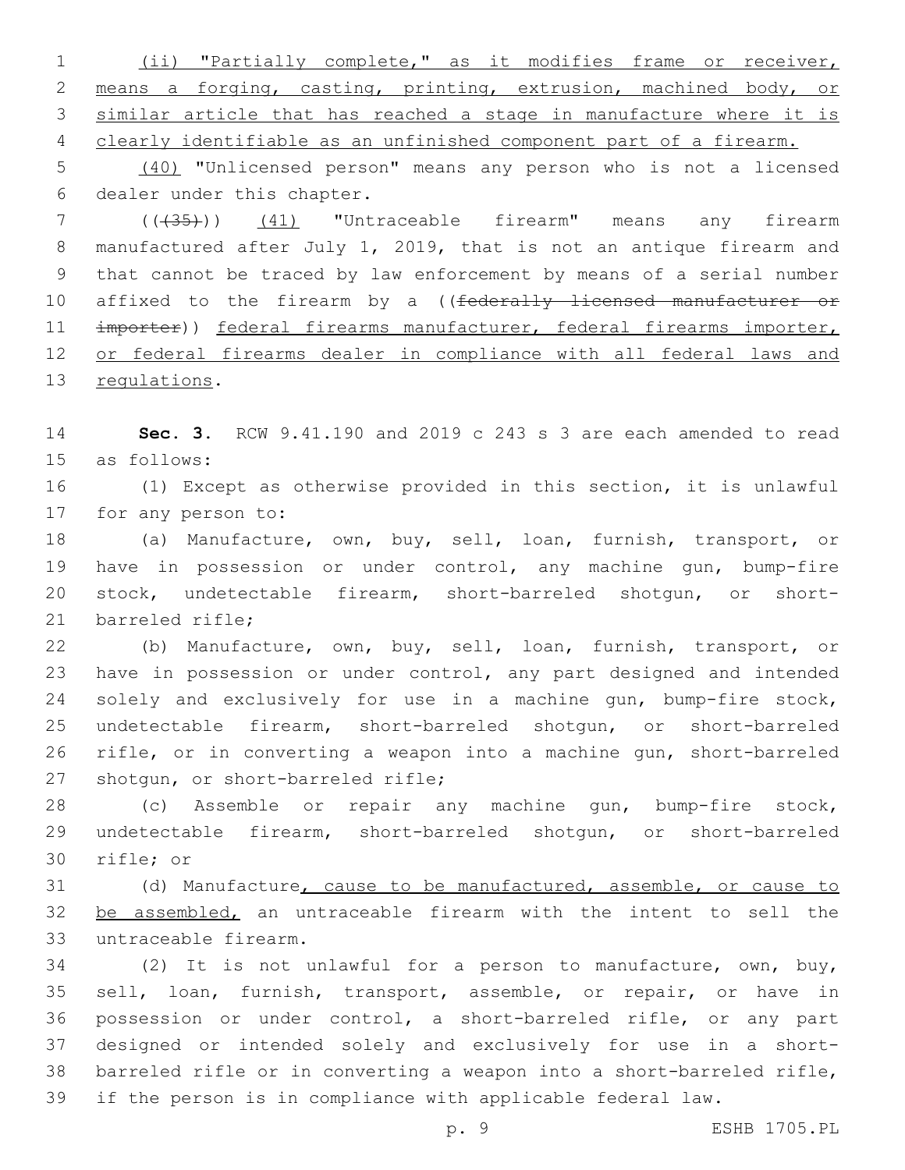(ii) "Partially complete," as it modifies frame or receiver, means a forging, casting, printing, extrusion, machined body, or similar article that has reached a stage in manufacture where it is clearly identifiable as an unfinished component part of a firearm.

 (40) "Unlicensed person" means any person who is not a licensed 6 dealer under this chapter.

 (((35))) (41) "Untraceable firearm" means any firearm manufactured after July 1, 2019, that is not an antique firearm and that cannot be traced by law enforcement by means of a serial number 10 affixed to the firearm by a ((federally licensed manufacturer or 11 importer)) federal firearms manufacturer, federal firearms importer, or federal firearms dealer in compliance with all federal laws and 13 regulations.

 **Sec. 3.** RCW 9.41.190 and 2019 c 243 s 3 are each amended to read 15 as follows:

 (1) Except as otherwise provided in this section, it is unlawful 17 for any person to:

 (a) Manufacture, own, buy, sell, loan, furnish, transport, or have in possession or under control, any machine gun, bump-fire stock, undetectable firearm, short-barreled shotgun, or short-21 barreled rifle:

 (b) Manufacture, own, buy, sell, loan, furnish, transport, or have in possession or under control, any part designed and intended solely and exclusively for use in a machine gun, bump-fire stock, undetectable firearm, short-barreled shotgun, or short-barreled rifle, or in converting a weapon into a machine gun, short-barreled 27 shotgun, or short-barreled rifle;

 (c) Assemble or repair any machine gun, bump-fire stock, undetectable firearm, short-barreled shotgun, or short-barreled 30 rifle; or

 (d) Manufacture, cause to be manufactured, assemble, or cause to 32 be assembled, an untraceable firearm with the intent to sell the 33 untraceable firearm.

 (2) It is not unlawful for a person to manufacture, own, buy, sell, loan, furnish, transport, assemble, or repair, or have in possession or under control, a short-barreled rifle, or any part designed or intended solely and exclusively for use in a short- barreled rifle or in converting a weapon into a short-barreled rifle, if the person is in compliance with applicable federal law.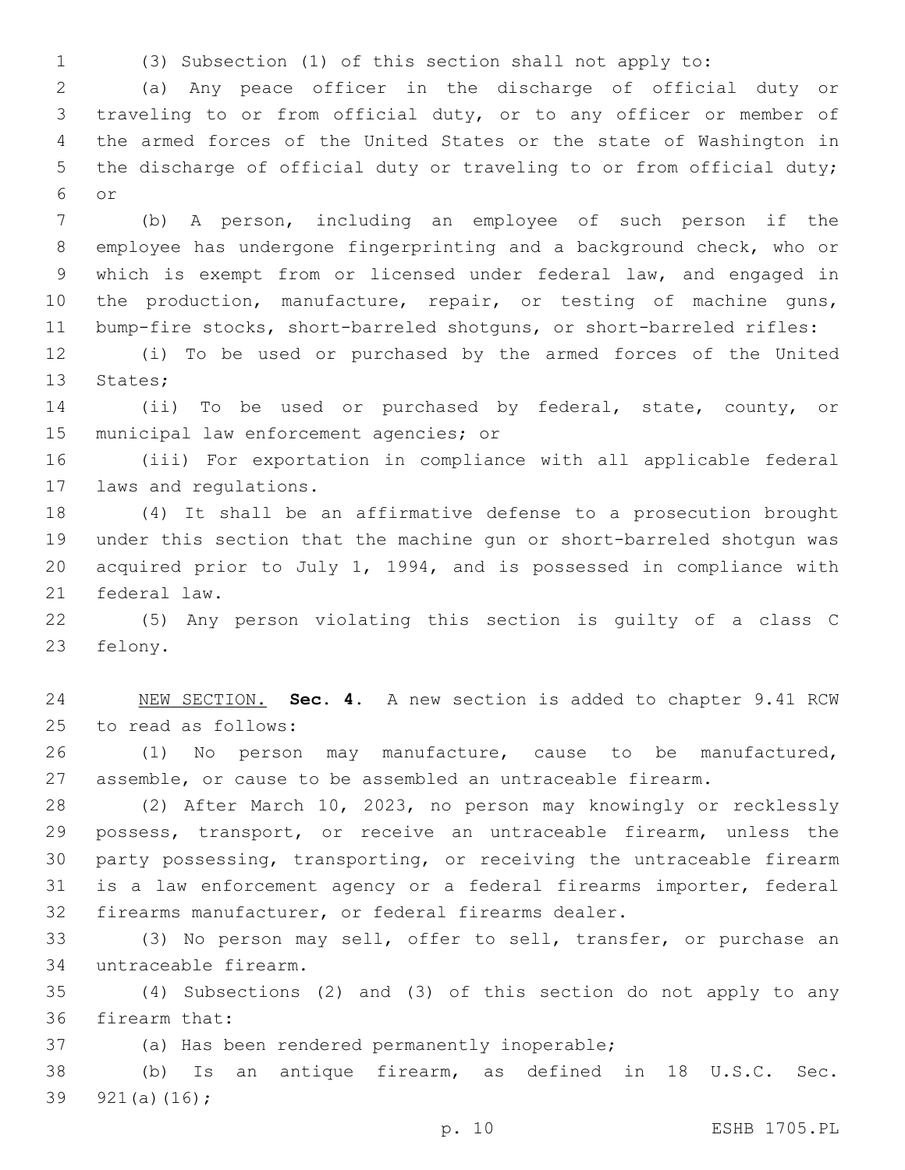(3) Subsection (1) of this section shall not apply to:

 (a) Any peace officer in the discharge of official duty or traveling to or from official duty, or to any officer or member of the armed forces of the United States or the state of Washington in the discharge of official duty or traveling to or from official duty; or6

 (b) A person, including an employee of such person if the employee has undergone fingerprinting and a background check, who or which is exempt from or licensed under federal law, and engaged in 10 the production, manufacture, repair, or testing of machine guns, bump-fire stocks, short-barreled shotguns, or short-barreled rifles:

 (i) To be used or purchased by the armed forces of the United 13 States;

 (ii) To be used or purchased by federal, state, county, or 15 municipal law enforcement agencies; or

 (iii) For exportation in compliance with all applicable federal 17 laws and regulations.

 (4) It shall be an affirmative defense to a prosecution brought under this section that the machine gun or short-barreled shotgun was acquired prior to July 1, 1994, and is possessed in compliance with 21 federal law.

 (5) Any person violating this section is guilty of a class C 23 felony.

 NEW SECTION. **Sec. 4.** A new section is added to chapter 9.41 RCW 25 to read as follows:

 (1) No person may manufacture, cause to be manufactured, assemble, or cause to be assembled an untraceable firearm.

 (2) After March 10, 2023, no person may knowingly or recklessly possess, transport, or receive an untraceable firearm, unless the party possessing, transporting, or receiving the untraceable firearm is a law enforcement agency or a federal firearms importer, federal firearms manufacturer, or federal firearms dealer.

 (3) No person may sell, offer to sell, transfer, or purchase an untraceable firearm.34

 (4) Subsections (2) and (3) of this section do not apply to any 36 firearm that:

37 (a) Has been rendered permanently inoperable;

 (b) Is an antique firearm, as defined in 18 U.S.C. Sec. 39  $921(a)(16)$ ;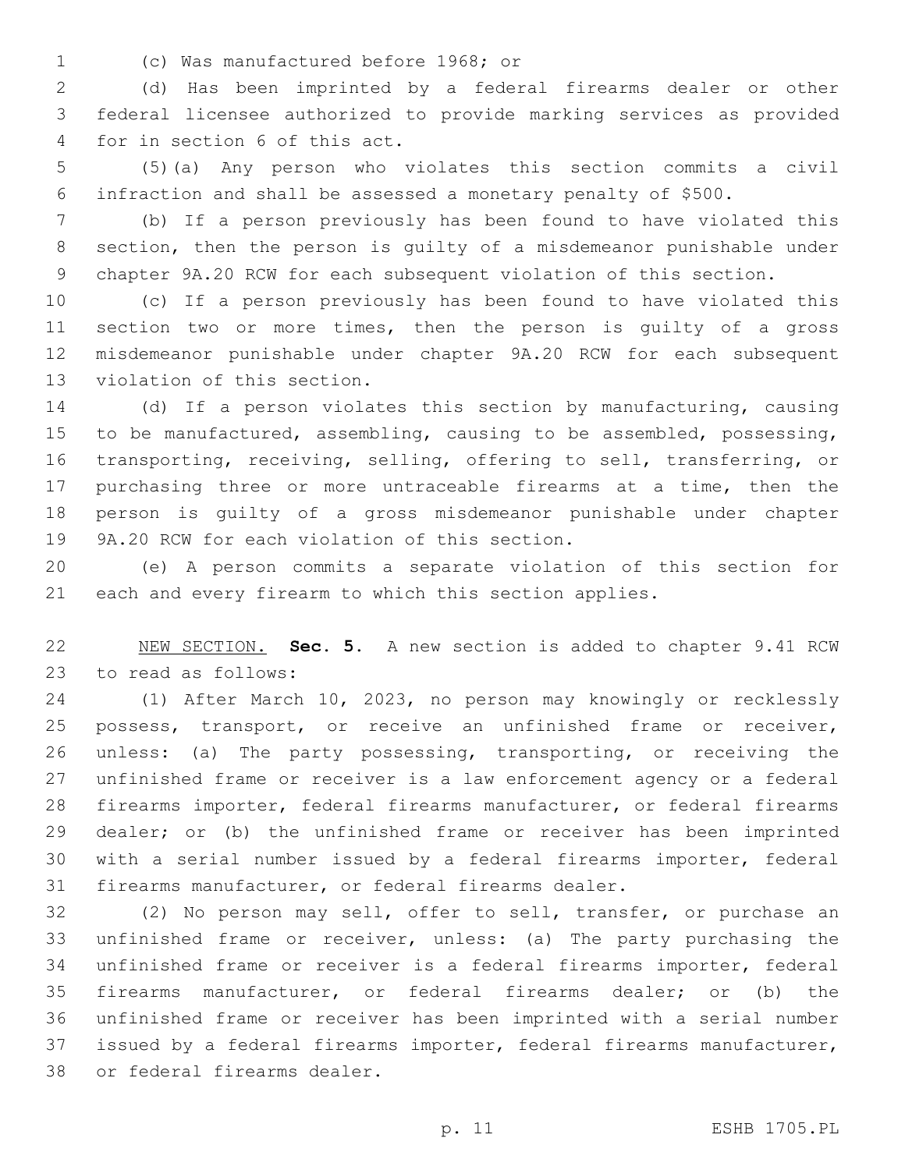(c) Was manufactured before 1968; or1

 (d) Has been imprinted by a federal firearms dealer or other federal licensee authorized to provide marking services as provided 4 for in section 6 of this act.

 (5)(a) Any person who violates this section commits a civil infraction and shall be assessed a monetary penalty of \$500.

 (b) If a person previously has been found to have violated this section, then the person is guilty of a misdemeanor punishable under chapter 9A.20 RCW for each subsequent violation of this section.

 (c) If a person previously has been found to have violated this section two or more times, then the person is guilty of a gross misdemeanor punishable under chapter 9A.20 RCW for each subsequent 13 violation of this section.

 (d) If a person violates this section by manufacturing, causing to be manufactured, assembling, causing to be assembled, possessing, transporting, receiving, selling, offering to sell, transferring, or purchasing three or more untraceable firearms at a time, then the person is guilty of a gross misdemeanor punishable under chapter 19 9A.20 RCW for each violation of this section.

 (e) A person commits a separate violation of this section for each and every firearm to which this section applies.

 NEW SECTION. **Sec. 5.** A new section is added to chapter 9.41 RCW 23 to read as follows:

 (1) After March 10, 2023, no person may knowingly or recklessly possess, transport, or receive an unfinished frame or receiver, unless: (a) The party possessing, transporting, or receiving the unfinished frame or receiver is a law enforcement agency or a federal firearms importer, federal firearms manufacturer, or federal firearms dealer; or (b) the unfinished frame or receiver has been imprinted with a serial number issued by a federal firearms importer, federal firearms manufacturer, or federal firearms dealer.

 (2) No person may sell, offer to sell, transfer, or purchase an unfinished frame or receiver, unless: (a) The party purchasing the unfinished frame or receiver is a federal firearms importer, federal firearms manufacturer, or federal firearms dealer; or (b) the unfinished frame or receiver has been imprinted with a serial number issued by a federal firearms importer, federal firearms manufacturer, 38 or federal firearms dealer.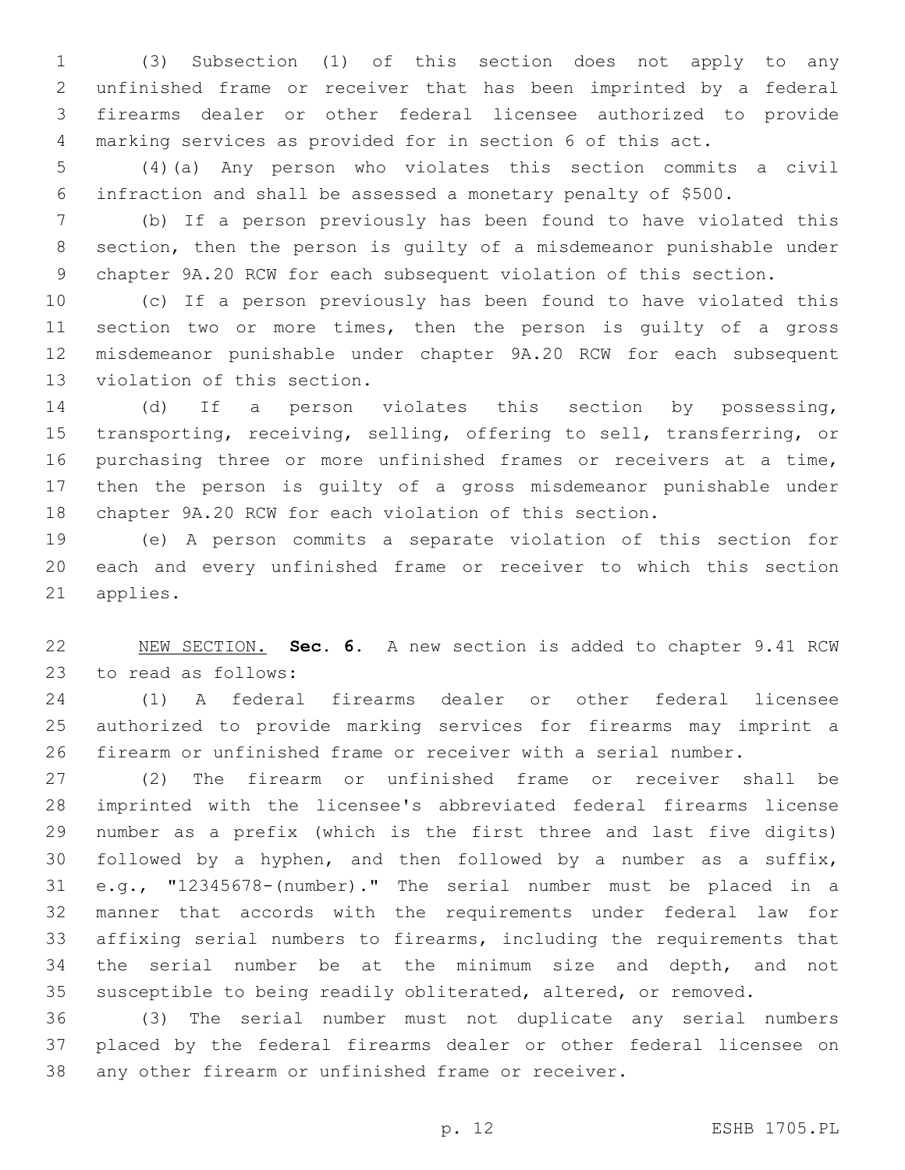(3) Subsection (1) of this section does not apply to any unfinished frame or receiver that has been imprinted by a federal firearms dealer or other federal licensee authorized to provide marking services as provided for in section 6 of this act.

 (4)(a) Any person who violates this section commits a civil infraction and shall be assessed a monetary penalty of \$500.

 (b) If a person previously has been found to have violated this section, then the person is guilty of a misdemeanor punishable under chapter 9A.20 RCW for each subsequent violation of this section.

 (c) If a person previously has been found to have violated this section two or more times, then the person is guilty of a gross misdemeanor punishable under chapter 9A.20 RCW for each subsequent 13 violation of this section.

 (d) If a person violates this section by possessing, transporting, receiving, selling, offering to sell, transferring, or purchasing three or more unfinished frames or receivers at a time, then the person is guilty of a gross misdemeanor punishable under chapter 9A.20 RCW for each violation of this section.

 (e) A person commits a separate violation of this section for each and every unfinished frame or receiver to which this section 21 applies.

 NEW SECTION. **Sec. 6.** A new section is added to chapter 9.41 RCW 23 to read as follows:

 (1) A federal firearms dealer or other federal licensee authorized to provide marking services for firearms may imprint a firearm or unfinished frame or receiver with a serial number.

 (2) The firearm or unfinished frame or receiver shall be imprinted with the licensee's abbreviated federal firearms license number as a prefix (which is the first three and last five digits) followed by a hyphen, and then followed by a number as a suffix, e.g., "12345678-(number)." The serial number must be placed in a manner that accords with the requirements under federal law for affixing serial numbers to firearms, including the requirements that the serial number be at the minimum size and depth, and not susceptible to being readily obliterated, altered, or removed.

 (3) The serial number must not duplicate any serial numbers placed by the federal firearms dealer or other federal licensee on any other firearm or unfinished frame or receiver.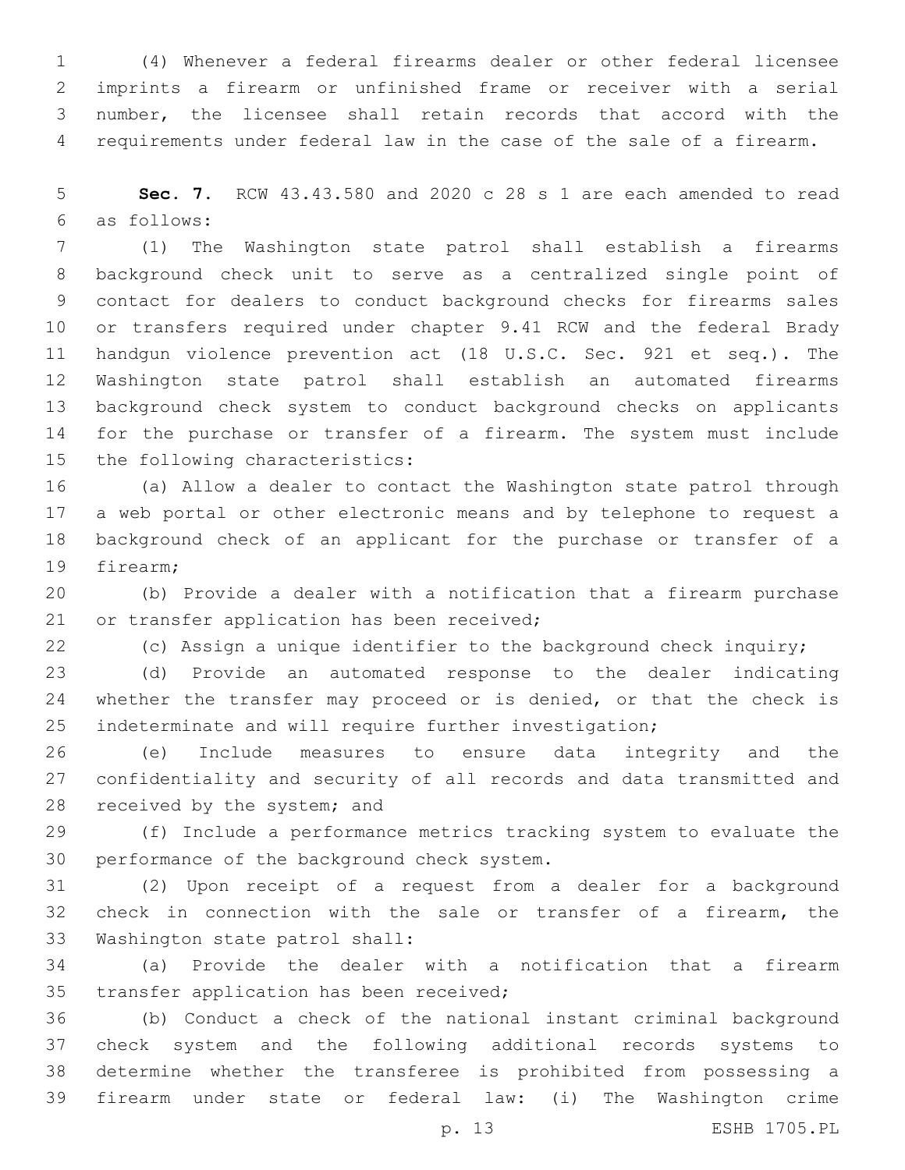(4) Whenever a federal firearms dealer or other federal licensee imprints a firearm or unfinished frame or receiver with a serial number, the licensee shall retain records that accord with the requirements under federal law in the case of the sale of a firearm.

 **Sec. 7.** RCW 43.43.580 and 2020 c 28 s 1 are each amended to read as follows:6

 (1) The Washington state patrol shall establish a firearms background check unit to serve as a centralized single point of contact for dealers to conduct background checks for firearms sales or transfers required under chapter 9.41 RCW and the federal Brady handgun violence prevention act (18 U.S.C. Sec. 921 et seq.). The Washington state patrol shall establish an automated firearms background check system to conduct background checks on applicants for the purchase or transfer of a firearm. The system must include 15 the following characteristics:

 (a) Allow a dealer to contact the Washington state patrol through a web portal or other electronic means and by telephone to request a background check of an applicant for the purchase or transfer of a 19 firearm:

 (b) Provide a dealer with a notification that a firearm purchase 21 or transfer application has been received;

(c) Assign a unique identifier to the background check inquiry;

 (d) Provide an automated response to the dealer indicating 24 whether the transfer may proceed or is denied, or that the check is indeterminate and will require further investigation;

 (e) Include measures to ensure data integrity and the confidentiality and security of all records and data transmitted and 28 received by the system; and

 (f) Include a performance metrics tracking system to evaluate the 30 performance of the background check system.

 (2) Upon receipt of a request from a dealer for a background check in connection with the sale or transfer of a firearm, the 33 Washington state patrol shall:

 (a) Provide the dealer with a notification that a firearm 35 transfer application has been received;

 (b) Conduct a check of the national instant criminal background check system and the following additional records systems to determine whether the transferee is prohibited from possessing a firearm under state or federal law: (i) The Washington crime

p. 13 ESHB 1705.PL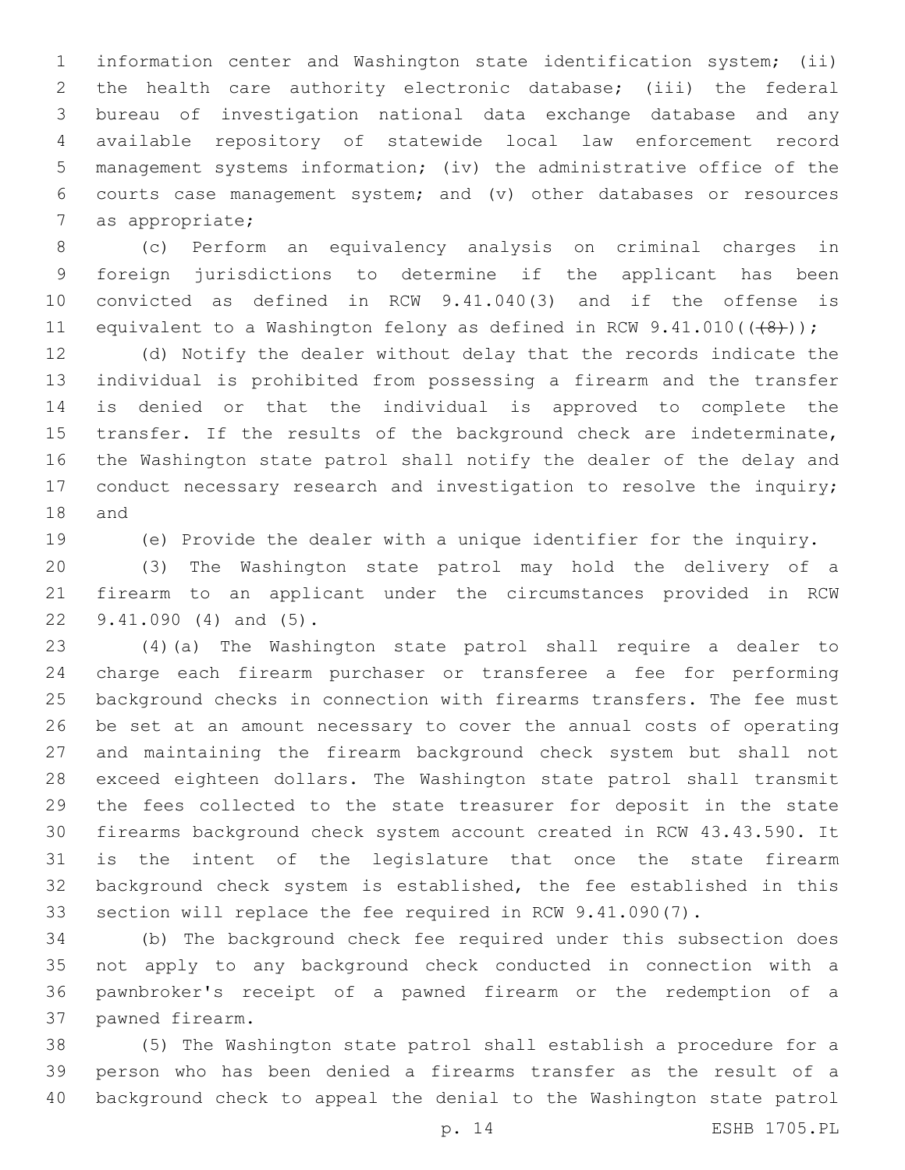information center and Washington state identification system; (ii) the health care authority electronic database; (iii) the federal bureau of investigation national data exchange database and any available repository of statewide local law enforcement record management systems information; (iv) the administrative office of the courts case management system; and (v) other databases or resources 7 as appropriate;

 (c) Perform an equivalency analysis on criminal charges in foreign jurisdictions to determine if the applicant has been convicted as defined in RCW 9.41.040(3) and if the offense is 11 equivalent to a Washington felony as defined in RCW 9.41.010(((48)));

 (d) Notify the dealer without delay that the records indicate the individual is prohibited from possessing a firearm and the transfer is denied or that the individual is approved to complete the transfer. If the results of the background check are indeterminate, the Washington state patrol shall notify the dealer of the delay and 17 conduct necessary research and investigation to resolve the inquiry; 18 and

(e) Provide the dealer with a unique identifier for the inquiry.

 (3) The Washington state patrol may hold the delivery of a firearm to an applicant under the circumstances provided in RCW 22 9.41.090 (4) and (5).

 (4)(a) The Washington state patrol shall require a dealer to charge each firearm purchaser or transferee a fee for performing background checks in connection with firearms transfers. The fee must be set at an amount necessary to cover the annual costs of operating and maintaining the firearm background check system but shall not exceed eighteen dollars. The Washington state patrol shall transmit the fees collected to the state treasurer for deposit in the state firearms background check system account created in RCW 43.43.590. It is the intent of the legislature that once the state firearm background check system is established, the fee established in this section will replace the fee required in RCW 9.41.090(7).

 (b) The background check fee required under this subsection does not apply to any background check conducted in connection with a pawnbroker's receipt of a pawned firearm or the redemption of a 37 pawned firearm.

 (5) The Washington state patrol shall establish a procedure for a person who has been denied a firearms transfer as the result of a background check to appeal the denial to the Washington state patrol